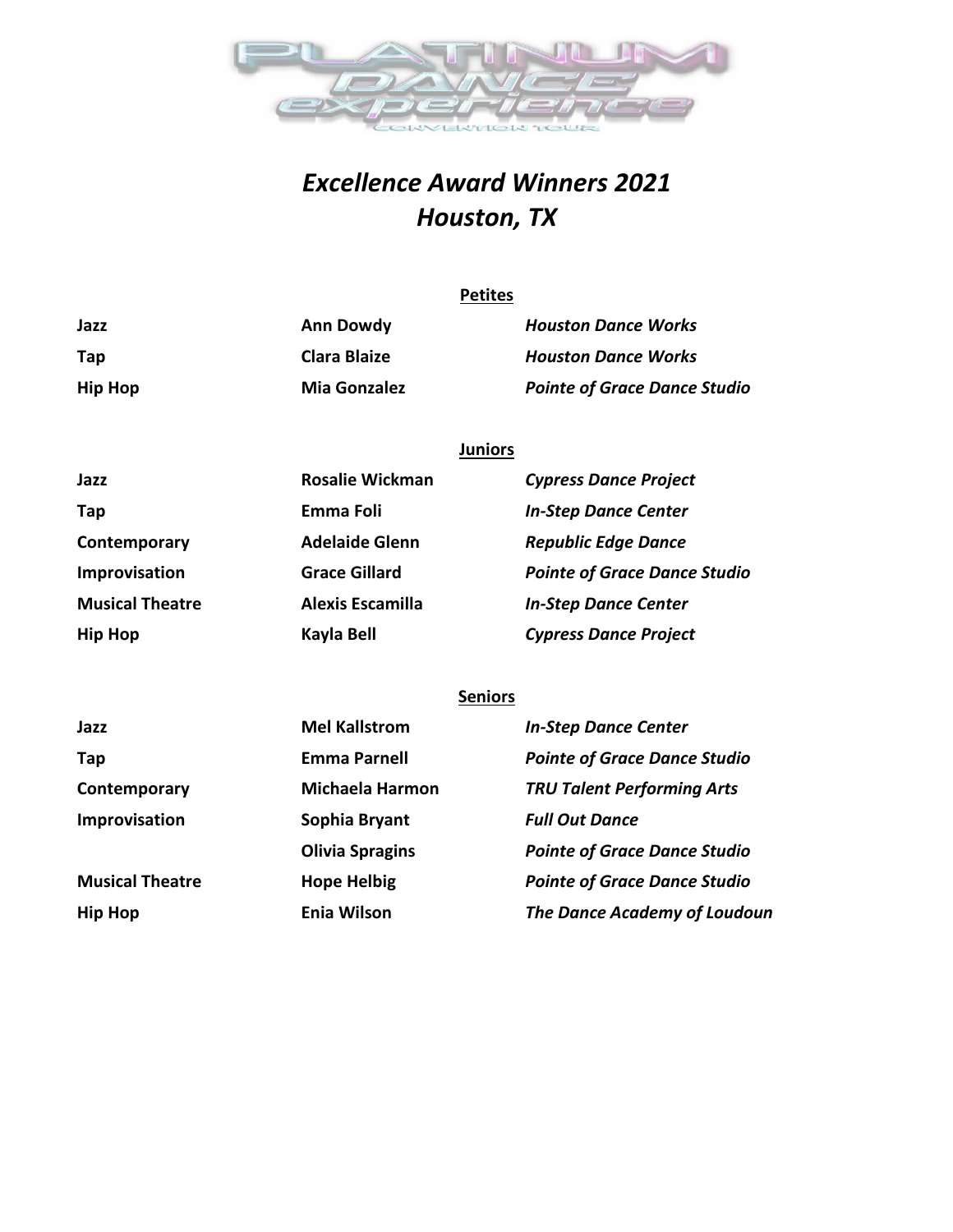

## *Excellence Award Winners 2021 Houston, TX*

|                | <b>Petites</b>      |                                     |  |
|----------------|---------------------|-------------------------------------|--|
| Jazz           | <b>Ann Dowdy</b>    | <b>Houston Dance Works</b>          |  |
| Tap            | <b>Clara Blaize</b> | <b>Houston Dance Works</b>          |  |
| <b>Hip Hop</b> | <b>Mia Gonzalez</b> | <b>Pointe of Grace Dance Studio</b> |  |

## **Juniors**

| Jazz                   | <b>Rosalie Wickman</b>  | <b>Cypress Dance Project</b>        |
|------------------------|-------------------------|-------------------------------------|
| Tap                    | Emma Foli               | <b>In-Step Dance Center</b>         |
| Contemporary           | <b>Adelaide Glenn</b>   | <b>Republic Edge Dance</b>          |
| Improvisation          | <b>Grace Gillard</b>    | <b>Pointe of Grace Dance Studio</b> |
| <b>Musical Theatre</b> | <b>Alexis Escamilla</b> | <b>In-Step Dance Center</b>         |
| <b>Hip Hop</b>         | Kayla Bell              | <b>Cypress Dance Project</b>        |

## **Seniors**

| Jazz                   | <b>Mel Kallstrom</b>   | <b>In-Step Dance Center</b>         |
|------------------------|------------------------|-------------------------------------|
| Tap                    | <b>Emma Parnell</b>    | <b>Pointe of Grace Dance Studio</b> |
| Contemporary           | <b>Michaela Harmon</b> | <b>TRU Talent Performing Arts</b>   |
| Improvisation          | Sophia Bryant          | <b>Full Out Dance</b>               |
|                        | <b>Olivia Spragins</b> | <b>Pointe of Grace Dance Studio</b> |
| <b>Musical Theatre</b> | <b>Hope Helbig</b>     | <b>Pointe of Grace Dance Studio</b> |
| <b>Hip Hop</b>         | <b>Enia Wilson</b>     | The Dance Academy of Loudoun        |